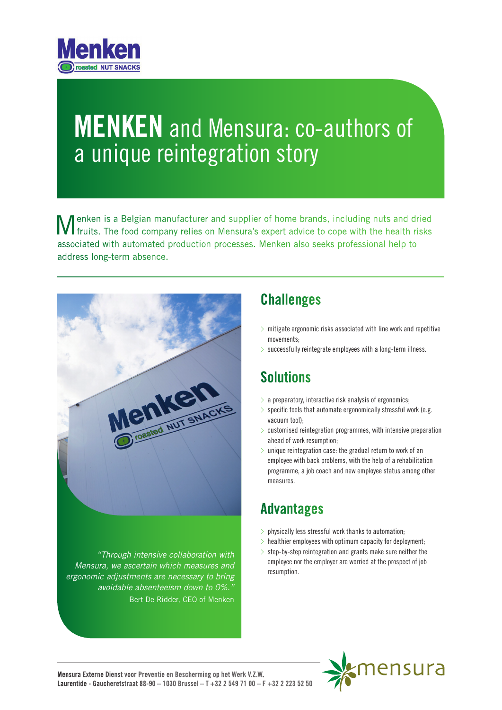

# **MENKEN** and Mensura: co-authors of a unique reintegration story

**M** enken is a Belgian manufacturer and supplier of home brands, including nuts and dried fruits. The food company relies on Mensura's expert advice to cope with the health risks associated with automated production processes. Menken also seeks professional help to address long-term absence.



*"Through intensive collaboration with Mensura, we ascertain which measures and ergonomic adjustments are necessary to bring avoidable absenteeism down to 0%."*  Bert De Ridder, CEO of Menken

#### **Challenges**

- $>$  mitigate ergonomic risks associated with line work and repetitive movements;
- $>$  successfully reintegrate employees with a long-term illness.

#### **Solutions**

- $>$  a preparatory, interactive risk analysis of ergonomics;
- $>$  specific tools that automate ergonomically stressful work (e.g. vacuum tool);
- $>$  customised reintegration programmes, with intensive preparation ahead of work resumption;
- $>$  unique reintegration case: the gradual return to work of an employee with back problems, with the help of a rehabilitation programme, a job coach and new employee status among other measures.

#### Advantages

- $>$  physically less stressful work thanks to automation;
- $>$  healthier employees with optimum capacity for deployment;
- $>$  step-by-step reintegration and grants make sure neither the employee nor the employer are worried at the prospect of job resumption.